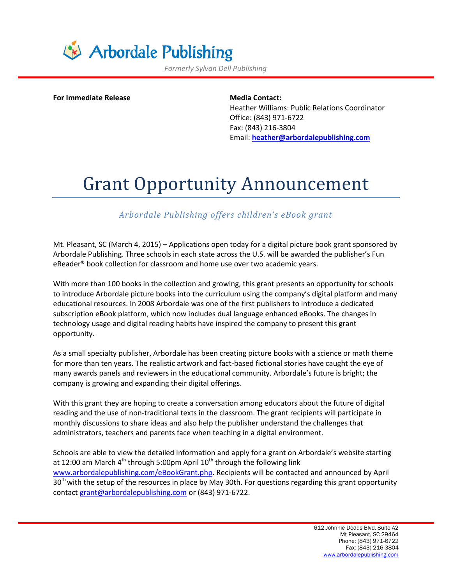

*Formerly Sylvan Dell Publishing*

**For Immediate Release <b>Media** Contact:

Heather Williams: Public Relations Coordinator Office: (843) 971-6722 Fax: (843) 216-3804 Email: **[heather@arbordalepublishing.com](mailto:heather@arbordalepublishing.com)**

## Grant Opportunity Announcement

## *Arbordale Publishing offers children's eBook grant*

Mt. Pleasant, SC (March 4, 2015) – Applications open today for a digital picture book grant sponsored by Arbordale Publishing. Three schools in each state across the U.S. will be awarded the publisher's Fun eReader® book collection for classroom and home use over two academic years.

With more than 100 books in the collection and growing, this grant presents an opportunity for schools to introduce Arbordale picture books into the curriculum using the company's digital platform and many educational resources. In 2008 Arbordale was one of the first publishers to introduce a dedicated subscription eBook platform, which now includes dual language enhanced eBooks. The changes in technology usage and digital reading habits have inspired the company to present this grant opportunity.

As a small specialty publisher, Arbordale has been creating picture books with a science or math theme for more than ten years. The realistic artwork and fact-based fictional stories have caught the eye of many awards panels and reviewers in the educational community. Arbordale's future is bright; the company is growing and expanding their digital offerings.

With this grant they are hoping to create a conversation among educators about the future of digital reading and the use of non-traditional texts in the classroom. The grant recipients will participate in monthly discussions to share ideas and also help the publisher understand the challenges that administrators, teachers and parents face when teaching in a digital environment.

Schools are able to view the detailed information and apply for a grant on Arbordale's website starting at 12:00 am March  $4<sup>th</sup>$  through 5:00pm April 10<sup>th</sup> through the following link [www.arbordalepublishing.com/eBookGrant.php.](http://www.arbordalepublishing.com/eBookGrant.php) Recipients will be contacted and announced by April 30<sup>th</sup> with the setup of the resources in place by May 30th. For questions regarding this grant opportunity contact [grant@arbordalepublishing.com](mailto:grant@arbordalepublishing.com) or (843) 971-6722.